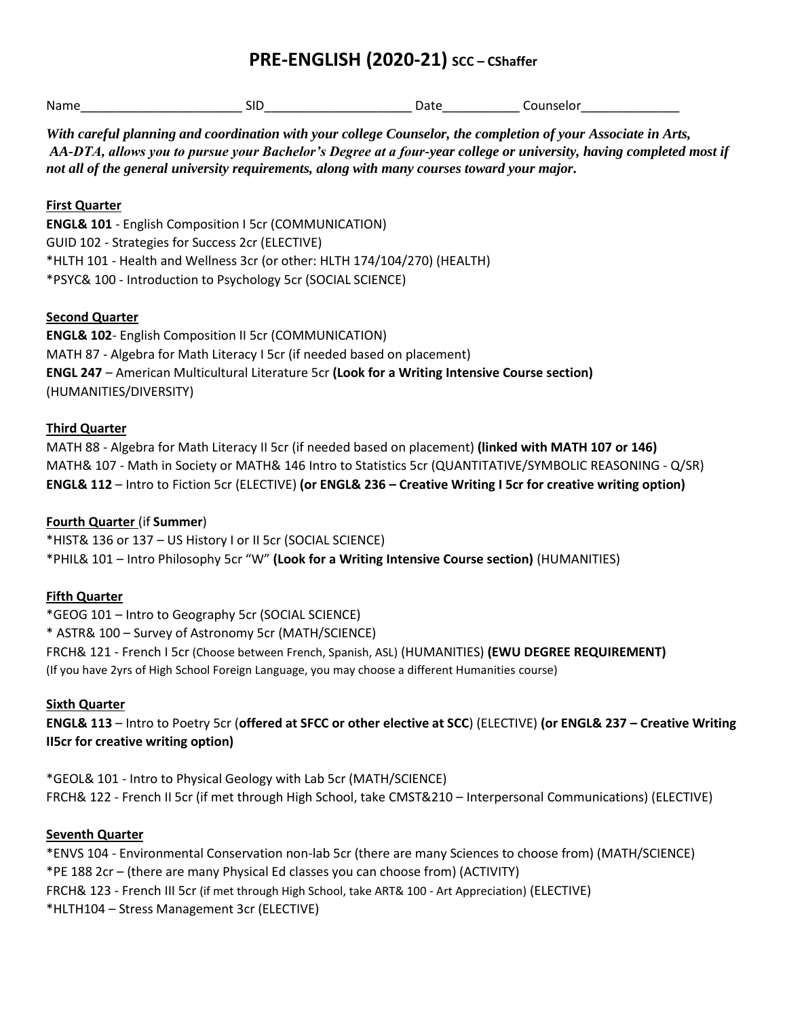# **PRE-ENGLISH (2020-21) SCC – CShaffer**

| Name       | .<br>ונ | 'a L |  |
|------------|---------|------|--|
| __________ |         |      |  |

*With careful planning and coordination with your college Counselor, the completion of your Associate in Arts, AA-DTA, allows you to pursue your Bachelor's Degree at a four-year college or university, having completed most if not all of the general university requirements, along with many courses toward your major.* 

### **First Quarter**

**ENGL& 101** - English Composition I 5cr (COMMUNICATION) GUID 102 - Strategies for Success 2cr (ELECTIVE) \*HLTH 101 - Health and Wellness 3cr (or other: HLTH 174/104/270) (HEALTH) \*PSYC& 100 - Introduction to Psychology 5cr (SOCIAL SCIENCE)

### **Second Quarter**

**ENGL& 102**- English Composition II 5cr (COMMUNICATION) MATH 87 - Algebra for Math Literacy I 5cr (if needed based on placement) **ENGL 247** – American Multicultural Literature 5cr **(Look for a Writing Intensive Course section)** (HUMANITIES/DIVERSITY)

### **Third Quarter**

MATH 88 - Algebra for Math Literacy II 5cr (if needed based on placement) **(linked with MATH 107 or 146)** MATH& 107 - Math in Society or MATH& 146 Intro to Statistics 5cr (QUANTITATIVE/SYMBOLIC REASONING - Q/SR) **ENGL& 112** – Intro to Fiction 5cr (ELECTIVE) **(or ENGL& 236 – Creative Writing I 5cr for creative writing option)**

## **Fourth Quarter** (if **Summer**)

\*HIST& 136 or 137 – US History I or II 5cr (SOCIAL SCIENCE) \*PHIL& 101 – Intro Philosophy 5cr "W" **(Look for a Writing Intensive Course section)** (HUMANITIES)

## **Fifth Quarter**

\*GEOG 101 – Intro to Geography 5cr (SOCIAL SCIENCE) \* ASTR& 100 – Survey of Astronomy 5cr (MATH/SCIENCE) FRCH& 121 - French I 5cr (Choose between French, Spanish, ASL) (HUMANITIES) **(EWU DEGREE REQUIREMENT)** (If you have 2yrs of High School Foreign Language, you may choose a different Humanities course)

## **Sixth Quarter**

**ENGL& 113** – Intro to Poetry 5cr (**offered at SFCC or other elective at SCC**) (ELECTIVE) **(or ENGL& 237 – Creative Writing II5cr for creative writing option)**

\*GEOL& 101 - Intro to Physical Geology with Lab 5cr (MATH/SCIENCE) FRCH& 122 - French II 5cr (if met through High School, take CMST&210 – Interpersonal Communications) (ELECTIVE)

#### **Seventh Quarter**

\*ENVS 104 - Environmental Conservation non-lab 5cr (there are many Sciences to choose from) (MATH/SCIENCE) \*PE 188 2cr – (there are many Physical Ed classes you can choose from) (ACTIVITY) FRCH& 123 - French III 5cr (if met through High School, take ART& 100 - Art Appreciation) (ELECTIVE) \*HLTH104 – Stress Management 3cr (ELECTIVE)